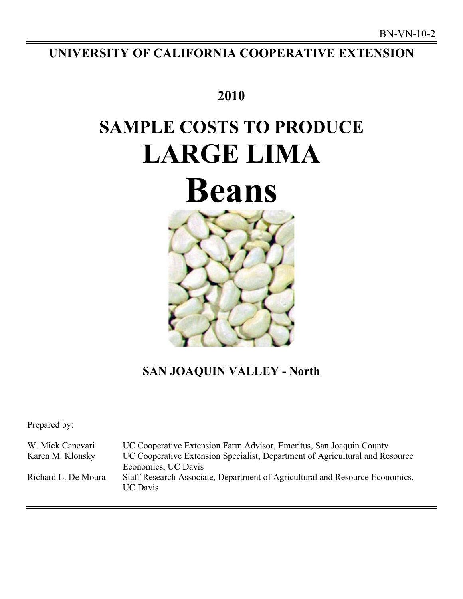## **UNIVERSITY OF CALIFORNIA COOPERATIVE EXTENSION**

### **2010**

## **SAMPLE COSTS TO PRODUCE LARGE LIMA**

# **Beans**



## **SAN JOAQUIN VALLEY - North**

Prepared by:

| W. Mick Canevari    | UC Cooperative Extension Farm Advisor, Emeritus, San Joaquin County                             |
|---------------------|-------------------------------------------------------------------------------------------------|
| Karen M. Klonsky    | UC Cooperative Extension Specialist, Department of Agricultural and Resource                    |
|                     | Economics, UC Davis                                                                             |
| Richard L. De Moura | Staff Research Associate, Department of Agricultural and Resource Economics,<br><b>UC</b> Davis |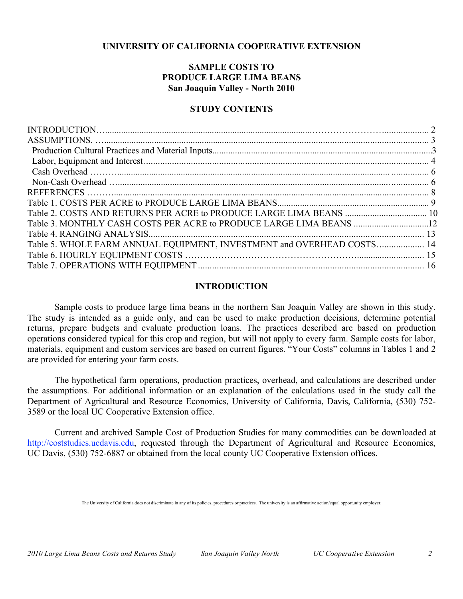#### **UNIVERSITY OF CALIFORNIA COOPERATIVE EXTENSION**

#### **SAMPLE COSTS TO PRODUCE LARGE LIMA BEANS San Joaquin Valley - North 2010**

#### **STUDY CONTENTS**

| Table 3. MONTHLY CASH COSTS PER ACRE to PRODUCE LARGE LIMA BEANS 12    |  |
|------------------------------------------------------------------------|--|
|                                                                        |  |
| Table 5. WHOLE FARM ANNUAL EQUIPMENT, INVESTMENT and OVERHEAD COSTS 14 |  |
|                                                                        |  |
|                                                                        |  |

#### **INTRODUCTION**

Sample costs to produce large lima beans in the northern San Joaquin Valley are shown in this study. The study is intended as a guide only, and can be used to make production decisions, determine potential returns, prepare budgets and evaluate production loans. The practices described are based on production operations considered typical for this crop and region, but will not apply to every farm. Sample costs for labor, materials, equipment and custom services are based on current figures. "Your Costs" columns in Tables 1 and 2 are provided for entering your farm costs.

The hypothetical farm operations, production practices, overhead, and calculations are described under the assumptions. For additional information or an explanation of the calculations used in the study call the Department of Agricultural and Resource Economics, University of California, Davis, California, (530) 752- 3589 or the local UC Cooperative Extension office.

Current and archived Sample Cost of Production Studies for many commodities can be downloaded at http://coststudies.ucdavis.edu, requested through the Department of Agricultural and Resource Economics, UC Davis, (530) 752-6887 or obtained from the local county UC Cooperative Extension offices.

The University of California does not discriminate in any of its policies, procedures or practices. The university is an affirmative action/equal opportunity employer.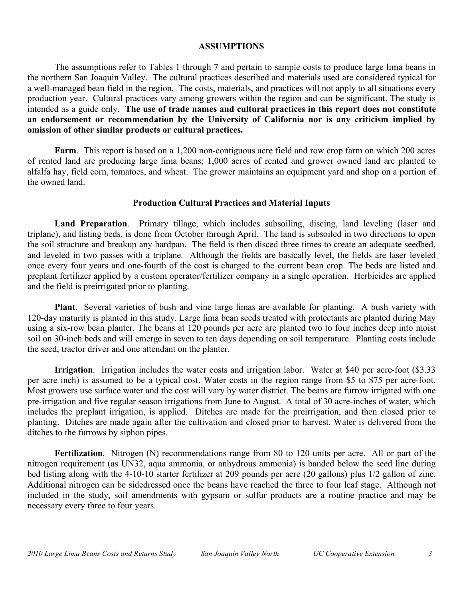#### **ASSUMPTIONS**

The assumptions refer to Tables 1 through 7 and pertain to sample costs to produce large lima beans in the northern San Joaquin Valley. The cultural practices described and materials used are considered typical for a well-managed bean field in the region. The costs, materials, and practices will not apply to all situations every production year. Cultural practices vary among growers within the region and can be significant. The study is intended as a guide only. **The use of trade names and cultural practices in this report does not constitute an endorsement or recommendation by the University of California nor is any criticism implied by omission of other similar products or cultural practices.** 

**Farm**. This report is based on a 1,200 non-contiguous acre field and row crop farm on which 200 acres of rented land are producing large lima beans; 1,000 acres of rented and grower owned land are planted to alfalfa hay, field corn, tomatoes, and wheat. The grower maintains an equipment yard and shop on a portion of the owned land.

#### **Production Cultural Practices and Material Inputs**

**Land Preparation**. Primary tillage, which includes subsoiling, discing, land leveling (laser and triplane), and listing beds, is done from October through April. The land is subsoiled in two directions to open the soil structure and breakup any hardpan. The field is then disced three times to create an adequate seedbed, and leveled in two passes with a triplane. Although the fields are basically level, the fields are laser leveled once every four years and one-fourth of the cost is charged to the current bean crop. The beds are listed and preplant fertilizer applied by a custom operator/fertilizer company in a single operation. Herbicides are applied and the field is preirrigated prior to planting.

**Plant**. Several varieties of bush and vine large limas are available for planting. A bush variety with 120-day maturity is planted in this study. Large lima bean seeds treated with protectants are planted during May using a six-row bean planter. The beans at 120 pounds per acre are planted two to four inches deep into moist soil on 30-inch beds and will emerge in seven to ten days depending on soil temperature. Planting costs include the seed, tractor driver and one attendant on the planter.

**Irrigation**. Irrigation includes the water costs and irrigation labor. Water at \$40 per acre-foot (\$3.33) per acre inch) is assumed to be a typical cost. Water costs in the region range from \$5 to \$75 per acre-foot. Most growers use surface water and the cost will vary by water district. The beans are furrow irrigated with one pre-irrigation and five regular season irrigations from June to August. A total of 30 acre-inches of water, which includes the preplant irrigation, is applied. Ditches are made for the preirrigation, and then closed prior to planting. Ditches are made again after the cultivation and closed prior to harvest. Water is delivered from the ditches to the furrows by siphon pipes.

**Fertilization**. Nitrogen (N) recommendations range from 80 to 120 units per acre. All or part of the nitrogen requirement (as UN32, aqua ammonia, or anhydrous ammonia) is banded below the seed line during bed listing along with the 4-10-10 starter fertilizer at 209 pounds per acre (20 gallons) plus 1/2 gallon of zinc. Additional nitrogen can be sidedressed once the beans have reached the three to four leaf stage. Although not included in the study, soil amendments with gypsum or sulfur products are a routine practice and may be necessary every three to four years.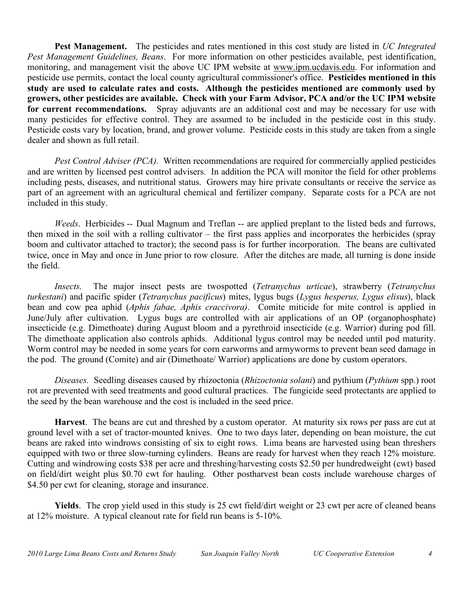**Pest Management.** The pesticides and rates mentioned in this cost study are listed in *UC Integrated Pest Management Guidelines, Beans*. For more information on other pesticides available, pest identification, monitoring, and management visit the above UC IPM website at www.ipm.ucdavis.edu. For information and pesticide use permits, contact the local county agricultural commissioner's office. **Pesticides mentioned in this study are used to calculate rates and costs. Although the pesticides mentioned are commonly used by growers, other pesticides are available. Check with your Farm Advisor, PCA and/or the UC IPM website for current recommendations.** Spray adjuvants are an additional cost and may be necessary for use with many pesticides for effective control. They are assumed to be included in the pesticide cost in this study. Pesticide costs vary by location, brand, and grower volume. Pesticide costs in this study are taken from a single dealer and shown as full retail.

*Pest Control Adviser (PCA).* Written recommendations are required for commercially applied pesticides and are written by licensed pest control advisers. In addition the PCA will monitor the field for other problems including pests, diseases, and nutritional status. Growers may hire private consultants or receive the service as part of an agreement with an agricultural chemical and fertilizer company. Separate costs for a PCA are not included in this study.

*Weeds*. Herbicides -- Dual Magnum and Treflan -- are applied preplant to the listed beds and furrows, then mixed in the soil with a rolling cultivator – the first pass applies and incorporates the herbicides (spray boom and cultivator attached to tractor); the second pass is for further incorporation. The beans are cultivated twice, once in May and once in June prior to row closure. After the ditches are made, all turning is done inside the field.

*Insects.* The major insect pests are twospotted (*Tetranychus urticae*), strawberry (*Tetranychus turkestani*) and pacific spider (*Tetranychus pacificus*) mites, lygus bugs (*Lygus hesperus, Lygus elisus*), black bean and cow pea aphid (*Aphis fabae, Aphis craccivora)*. Comite miticide for mite control is applied in June/July after cultivation. Lygus bugs are controlled with air applications of an OP (organophosphate) insecticide (e.g. Dimethoate) during August bloom and a pyrethroid insecticide (e.g. Warrior) during pod fill. The dimethoate application also controls aphids. Additional lygus control may be needed until pod maturity. Worm control may be needed in some years for corn earworms and armyworms to prevent bean seed damage in the pod. The ground (Comite) and air (Dimethoate/ Warrior) applications are done by custom operators.

*Diseases.* Seedling diseases caused by rhizoctonia (*Rhizoctonia solani*) and pythium (*Pythium* spp.) root rot are prevented with seed treatments and good cultural practices. The fungicide seed protectants are applied to the seed by the bean warehouse and the cost is included in the seed price.

**Harvest**. The beans are cut and threshed by a custom operator. At maturity six rows per pass are cut at ground level with a set of tractor-mounted knives. One to two days later, depending on bean moisture, the cut beans are raked into windrows consisting of six to eight rows. Lima beans are harvested using bean threshers equipped with two or three slow-turning cylinders. Beans are ready for harvest when they reach 12% moisture. Cutting and windrowing costs \$38 per acre and threshing/harvesting costs \$2.50 per hundredweight (cwt) based on field/dirt weight plus \$0.70 cwt for hauling. Other postharvest bean costs include warehouse charges of \$4.50 per cwt for cleaning, storage and insurance.

**Yields**. The crop yield used in this study is 25 cwt field/dirt weight or 23 cwt per acre of cleaned beans at 12% moisture. A typical cleanout rate for field run beans is 5-10%.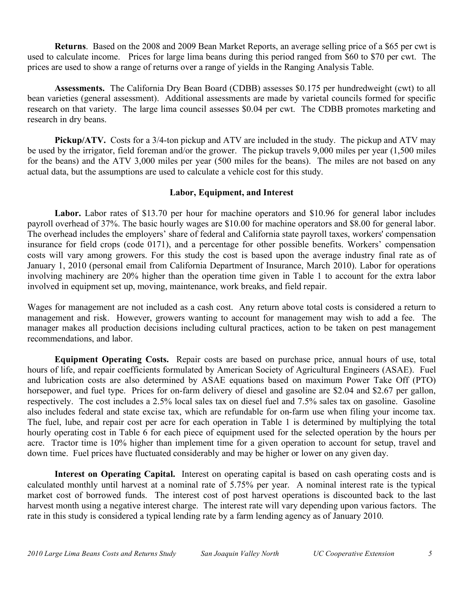**Returns**. Based on the 2008 and 2009 Bean Market Reports, an average selling price of a \$65 per cwt is used to calculate income. Prices for large lima beans during this period ranged from \$60 to \$70 per cwt. The prices are used to show a range of returns over a range of yields in the Ranging Analysis Table.

**Assessments.** The California Dry Bean Board (CDBB) assesses \$0.175 per hundredweight (cwt) to all bean varieties (general assessment). Additional assessments are made by varietal councils formed for specific research on that variety. The large lima council assesses \$0.04 per cwt. The CDBB promotes marketing and research in dry beans.

**Pickup/ATV.** Costs for a 3/4-ton pickup and ATV are included in the study. The pickup and ATV may be used by the irrigator, field foreman and/or the grower. The pickup travels 9,000 miles per year (1,500 miles for the beans) and the ATV 3,000 miles per year (500 miles for the beans). The miles are not based on any actual data, but the assumptions are used to calculate a vehicle cost for this study.

#### **Labor, Equipment, and Interest**

**Labor.** Labor rates of \$13.70 per hour for machine operators and \$10.96 for general labor includes payroll overhead of 37%. The basic hourly wages are \$10.00 for machine operators and \$8.00 for general labor. The overhead includes the employers' share of federal and California state payroll taxes, workers' compensation insurance for field crops (code 0171), and a percentage for other possible benefits. Workers' compensation costs will vary among growers. For this study the cost is based upon the average industry final rate as of January 1, 2010 (personal email from California Department of Insurance, March 2010). Labor for operations involving machinery are 20% higher than the operation time given in Table 1 to account for the extra labor involved in equipment set up, moving, maintenance, work breaks, and field repair.

Wages for management are not included as a cash cost. Any return above total costs is considered a return to management and risk. However, growers wanting to account for management may wish to add a fee. The manager makes all production decisions including cultural practices, action to be taken on pest management recommendations, and labor.

**Equipment Operating Costs.** Repair costs are based on purchase price, annual hours of use, total hours of life, and repair coefficients formulated by American Society of Agricultural Engineers (ASAE). Fuel and lubrication costs are also determined by ASAE equations based on maximum Power Take Off (PTO) horsepower, and fuel type. Prices for on-farm delivery of diesel and gasoline are \$2.04 and \$2.67 per gallon, respectively. The cost includes a 2.5% local sales tax on diesel fuel and 7.5% sales tax on gasoline. Gasoline also includes federal and state excise tax, which are refundable for on-farm use when filing your income tax. The fuel, lube, and repair cost per acre for each operation in Table 1 is determined by multiplying the total hourly operating cost in Table 6 for each piece of equipment used for the selected operation by the hours per acre. Tractor time is 10% higher than implement time for a given operation to account for setup, travel and down time. Fuel prices have fluctuated considerably and may be higher or lower on any given day.

**Interest on Operating Capital.**Interest on operating capital is based on cash operating costs and is calculated monthly until harvest at a nominal rate of 5.75% per year. A nominal interest rate is the typical market cost of borrowed funds. The interest cost of post harvest operations is discounted back to the last harvest month using a negative interest charge. The interest rate will vary depending upon various factors. The rate in this study is considered a typical lending rate by a farm lending agency as of January 2010.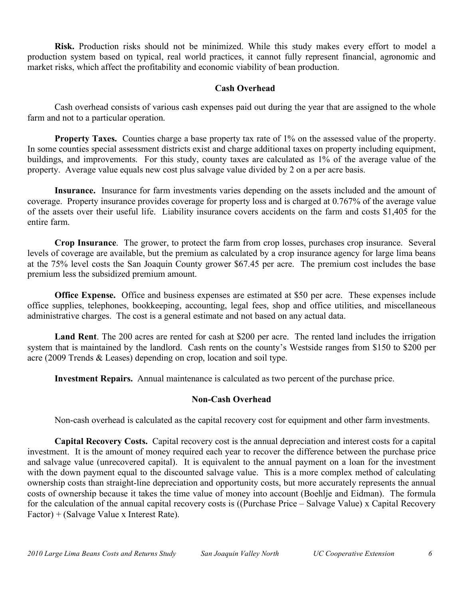**Risk.** Production risks should not be minimized. While this study makes every effort to model a production system based on typical, real world practices, it cannot fully represent financial, agronomic and market risks, which affect the profitability and economic viability of bean production.

#### **Cash Overhead**

Cash overhead consists of various cash expenses paid out during the year that are assigned to the whole farm and not to a particular operation.

**Property Taxes.** Counties charge a base property tax rate of 1% on the assessed value of the property. In some counties special assessment districts exist and charge additional taxes on property including equipment, buildings, and improvements. For this study, county taxes are calculated as 1% of the average value of the property. Average value equals new cost plus salvage value divided by 2 on a per acre basis.

**Insurance.** Insurance for farm investments varies depending on the assets included and the amount of coverage. Property insurance provides coverage for property loss and is charged at 0.767% of the average value of the assets over their useful life. Liability insurance covers accidents on the farm and costs \$1,405 for the entire farm.

**Crop Insurance**. The grower, to protect the farm from crop losses, purchases crop insurance. Several levels of coverage are available, but the premium as calculated by a crop insurance agency for large lima beans at the 75% level costs the San Joaquin County grower \$67.45 per acre. The premium cost includes the base premium less the subsidized premium amount.

**Office Expense.** Office and business expenses are estimated at \$50 per acre. These expenses include office supplies, telephones, bookkeeping, accounting, legal fees, shop and office utilities, and miscellaneous administrative charges. The cost is a general estimate and not based on any actual data.

**Land Rent**. The 200 acres are rented for cash at \$200 per acre. The rented land includes the irrigation system that is maintained by the landlord. Cash rents on the county's Westside ranges from \$150 to \$200 per acre (2009 Trends & Leases) depending on crop, location and soil type.

**Investment Repairs.** Annual maintenance is calculated as two percent of the purchase price.

#### **Non-Cash Overhead**

Non-cash overhead is calculated as the capital recovery cost for equipment and other farm investments.

**Capital Recovery Costs.** Capital recovery cost is the annual depreciation and interest costs for a capital investment. It is the amount of money required each year to recover the difference between the purchase price and salvage value (unrecovered capital). It is equivalent to the annual payment on a loan for the investment with the down payment equal to the discounted salvage value. This is a more complex method of calculating ownership costs than straight-line depreciation and opportunity costs, but more accurately represents the annual costs of ownership because it takes the time value of money into account (Boehlje and Eidman). The formula for the calculation of the annual capital recovery costs is ((Purchase Price – Salvage Value) x Capital Recovery Factor) + (Salvage Value x Interest Rate).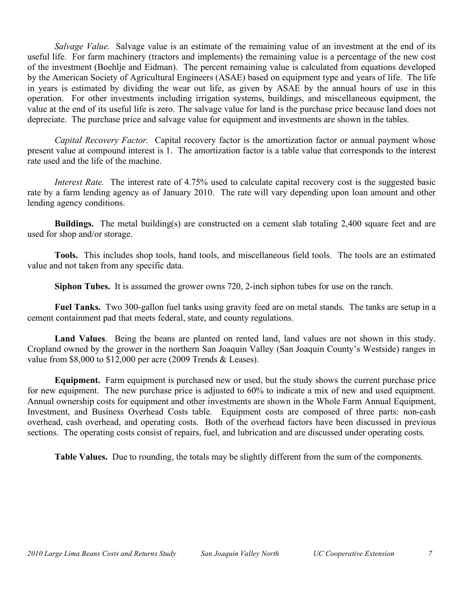*Salvage Value.* Salvage value is an estimate of the remaining value of an investment at the end of its useful life. For farm machinery (tractors and implements) the remaining value is a percentage of the new cost of the investment (Boehlje and Eidman). The percent remaining value is calculated from equations developed by the American Society of Agricultural Engineers (ASAE) based on equipment type and years of life. The life in years is estimated by dividing the wear out life, as given by ASAE by the annual hours of use in this operation. For other investments including irrigation systems, buildings, and miscellaneous equipment, the value at the end of its useful life is zero. The salvage value for land is the purchase price because land does not depreciate. The purchase price and salvage value for equipment and investments are shown in the tables.

*Capital Recovery Factor.* Capital recovery factor is the amortization factor or annual payment whose present value at compound interest is 1. The amortization factor is a table value that corresponds to the interest rate used and the life of the machine.

*Interest Rate.* The interest rate of 4.75% used to calculate capital recovery cost is the suggested basic rate by a farm lending agency as of January 2010. The rate will vary depending upon loan amount and other lending agency conditions.

**Buildings.** The metal building(s) are constructed on a cement slab totaling 2,400 square feet and are used for shop and/or storage.

**Tools.** This includes shop tools, hand tools, and miscellaneous field tools. The tools are an estimated value and not taken from any specific data.

**Siphon Tubes.** It is assumed the grower owns 720, 2-inch siphon tubes for use on the ranch.

**Fuel Tanks.** Two 300-gallon fuel tanks using gravity feed are on metal stands. The tanks are setup in a cement containment pad that meets federal, state, and county regulations.

**Land Values**.Being the beans are planted on rented land, land values are not shown in this study. Cropland owned by the grower in the northern San Joaquin Valley (San Joaquin County's Westside) ranges in value from \$8,000 to \$12,000 per acre (2009 Trends & Leases).

**Equipment.** Farm equipment is purchased new or used, but the study shows the current purchase price for new equipment. The new purchase price is adjusted to 60% to indicate a mix of new and used equipment. Annual ownership costs for equipment and other investments are shown in the Whole Farm Annual Equipment, Investment, and Business Overhead Costs table. Equipment costs are composed of three parts: non-cash overhead, cash overhead, and operating costs. Both of the overhead factors have been discussed in previous sections. The operating costs consist of repairs, fuel, and lubrication and are discussed under operating costs.

**Table Values.** Due to rounding, the totals may be slightly different from the sum of the components.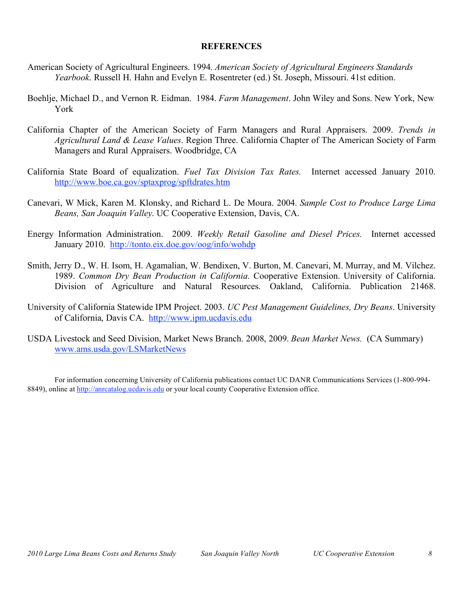#### **REFERENCES**

- American Society of Agricultural Engineers. 1994. *American Society of Agricultural Engineers Standards Yearbook*. Russell H. Hahn and Evelyn E. Rosentreter (ed.) St. Joseph, Missouri. 41st edition.
- Boehlje, Michael D., and Vernon R. Eidman. 1984. *Farm Management*. John Wiley and Sons. New York, New York
- California Chapter of the American Society of Farm Managers and Rural Appraisers. 2009. *Trends in Agricultural Land & Lease Values*. Region Three. California Chapter of The American Society of Farm Managers and Rural Appraisers. Woodbridge, CA
- California State Board of equalization. *Fuel Tax Division Tax Rates.* Internet accessed January 2010. http://www.boe.ca.gov/sptaxprog/spftdrates.htm
- Canevari, W Mick, Karen M. Klonsky, and Richard L. De Moura. 2004. *Sample Cost to Produce Large Lima Beans, San Joaquin Valley*. UC Cooperative Extension, Davis, CA.
- Energy Information Administration. 2009. *Weekly Retail Gasoline and Diesel Prices.* Internet accessed January 2010. http://tonto.eix.doe.gov/oog/info/wohdp
- Smith, Jerry D., W. H. Isom, H. Agamalian, W. Bendixen, V. Burton, M. Canevari, M. Murray, and M. Vilchez. 1989. *Common Dry Bean Production in California*. Cooperative Extension. University of California. Division of Agriculture and Natural Resources. Oakland, California. Publication 21468.
- University of California Statewide IPM Project. 2003. *UC Pest Management Guidelines, Dry Beans*. University of California, Davis CA. http://www.ipm.ucdavis.edu
- USDA Livestock and Seed Division, Market News Branch. 2008, 2009. *Bean Market News.* (CA Summary) www.ams.usda.gov/LSMarketNews

For information concerning University of California publications contact UC DANR Communications Services (1-800-994- 8849), online at http://anrcatalog.ucdavis.edu or your local county Cooperative Extension office.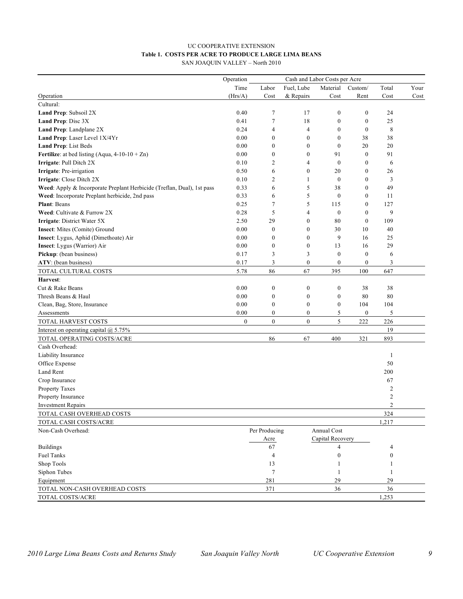#### UC COOPERATIVE EXTENSION **Table 1. COSTS PER ACRE TO PRODUCE LARGE LIMA BEANS** SAN JOAQUIN VALLEY – North 2010

|                                                                        | Operation        |                  | Cash and Labor Costs per Acre |                  |                  |                  |      |
|------------------------------------------------------------------------|------------------|------------------|-------------------------------|------------------|------------------|------------------|------|
|                                                                        | Time             | Labor            | Fuel, Lube                    | Material         | Custom/          | Total            | Your |
| Operation                                                              | (Hrs/A)          | Cost             | & Repairs                     | Cost             | Rent             | Cost             | Cost |
| Cultural:                                                              |                  |                  |                               |                  |                  |                  |      |
| Land Prep: Subsoil 2X                                                  | 0.40             | 7                | 17                            | $\boldsymbol{0}$ | $\boldsymbol{0}$ | 24               |      |
| Land Prep: Disc 3X                                                     | 0.41             | $\tau$           | 18                            | $\boldsymbol{0}$ | $\boldsymbol{0}$ | 25               |      |
| Land Prep: Landplane 2X                                                | 0.24             | $\overline{4}$   | $\overline{4}$                | $\boldsymbol{0}$ | $\boldsymbol{0}$ | 8                |      |
| Land Prep: Laser Level 1X/4Yr                                          | 0.00             | $\boldsymbol{0}$ | $\boldsymbol{0}$              | $\mathbf{0}$     | 38               | 38               |      |
| Land Prep: List Beds                                                   | 0.00             | $\boldsymbol{0}$ | $\boldsymbol{0}$              | $\boldsymbol{0}$ | 20               | 20               |      |
| Fertilize: at bed listing (Aqua, $4-10-10+Zn$ )                        | 0.00             | $\boldsymbol{0}$ | $\boldsymbol{0}$              | 91               | $\boldsymbol{0}$ | 91               |      |
| Irrigate: Pull Ditch 2X                                                | 0.10             | $\overline{c}$   | 4                             | $\boldsymbol{0}$ | $\boldsymbol{0}$ | 6                |      |
| Irrigate: Pre-irrigation                                               | 0.50             | 6                | $\boldsymbol{0}$              | 20               | $\mathbf{0}$     | 26               |      |
| Irrigate: Close Ditch 2X                                               | 0.10             | 2                | 1                             | $\boldsymbol{0}$ | $\mathbf{0}$     | 3                |      |
| Weed: Apply & Incorporate Preplant Herbicide (Treflan, Dual), 1st pass | 0.33             | 6                | 5                             | 38               | $\mathbf{0}$     | 49               |      |
| Weed: Incorporate Preplant herbicide, 2nd pass                         | 0.33             | 6                | 5                             | $\mathbf{0}$     | $\boldsymbol{0}$ | 11               |      |
| <b>Plant: Beans</b>                                                    | 0.25             | 7                | 5                             | 115              | $\boldsymbol{0}$ | 127              |      |
| Weed: Cultivate & Furrow 2X                                            | 0.28             | 5                | $\overline{4}$                | $\boldsymbol{0}$ | $\mathbf{0}$     | 9                |      |
| Irrigate: District Water 5X                                            | 2.50             | 29               | $\boldsymbol{0}$              | 80               | $\mathbf{0}$     | 109              |      |
| Insect: Mites (Comite) Ground                                          | 0.00             | $\boldsymbol{0}$ | $\boldsymbol{0}$              | 30               | 10               | 40               |      |
| Insect: Lygus, Aphid (Dimethoate) Air                                  | 0.00             | $\boldsymbol{0}$ | $\boldsymbol{0}$              | 9                | 16               | 25               |      |
| Insect: Lygus (Warrior) Air                                            | 0.00             | $\boldsymbol{0}$ | $\boldsymbol{0}$              | 13               | 16               | 29               |      |
| Pickup: (bean business)                                                | 0.17             | 3                | 3                             | $\boldsymbol{0}$ | $\boldsymbol{0}$ | 6                |      |
| ATV: (bean business)                                                   | 0.17             | 3                | $\boldsymbol{0}$              | $\boldsymbol{0}$ | $\boldsymbol{0}$ | 3                |      |
| TOTAL CULTURAL COSTS                                                   | 5.78             | 86               | 67                            | 395              | 100              | 647              |      |
| Harvest:                                                               |                  |                  |                               |                  |                  |                  |      |
| Cut & Rake Beans                                                       | 0.00             | $\boldsymbol{0}$ | $\boldsymbol{0}$              | $\boldsymbol{0}$ | 38               | 38               |      |
| Thresh Beans & Haul                                                    | 0.00             | $\boldsymbol{0}$ | $\boldsymbol{0}$              | $\boldsymbol{0}$ | 80               | 80               |      |
| Clean, Bag, Store, Insurance                                           | 0.00             | $\boldsymbol{0}$ | $\boldsymbol{0}$              | $\boldsymbol{0}$ | 104              | 104              |      |
| Assessments                                                            | 0.00             | $\boldsymbol{0}$ | $\boldsymbol{0}$              | 5                | $\boldsymbol{0}$ | 5                |      |
| TOTAL HARVEST COSTS                                                    | $\boldsymbol{0}$ | $\mathbf{0}$     | $\boldsymbol{0}$              | 5                | 222              | 226              |      |
| Interest on operating capital @ 5.75%                                  |                  |                  |                               |                  |                  | 19               |      |
| TOTAL OPERATING COSTS/ACRE                                             |                  | 86               | 67                            | 400              | 321              | 893              |      |
| Cash Overhead:                                                         |                  |                  |                               |                  |                  |                  |      |
| Liability Insurance                                                    |                  |                  |                               |                  |                  | 1                |      |
| Office Expense                                                         |                  |                  |                               |                  |                  | 50               |      |
| Land Rent                                                              |                  |                  |                               |                  |                  | 200              |      |
| Crop Insurance                                                         |                  |                  |                               |                  |                  | 67               |      |
| Property Taxes                                                         |                  |                  |                               |                  |                  | $\overline{c}$   |      |
| Property Insurance                                                     |                  |                  |                               |                  |                  | $\overline{c}$   |      |
| <b>Investment Repairs</b>                                              |                  |                  |                               |                  |                  | 2                |      |
| TOTAL CASH OVERHEAD COSTS                                              |                  |                  |                               |                  |                  | 324              |      |
| TOTAL CASH COSTS/ACRE                                                  |                  |                  |                               |                  |                  | 1,217            |      |
| Non-Cash Overhead:                                                     |                  | Per Producing    |                               | Annual Cost      |                  |                  |      |
|                                                                        |                  | Acre             |                               | Capital Recovery |                  |                  |      |
| <b>Buildings</b>                                                       |                  | 67               |                               | 4                |                  | 4                |      |
| <b>Fuel Tanks</b>                                                      |                  | 4                |                               | $\boldsymbol{0}$ |                  | $\boldsymbol{0}$ |      |
| Shop Tools                                                             |                  | 13               |                               | 1                |                  | 1                |      |
| Siphon Tubes                                                           |                  | 7                |                               | 1                |                  | 1                |      |
| Equipment                                                              |                  | 281              |                               | 29               |                  | 29               |      |
| TOTAL NON-CASH OVERHEAD COSTS                                          |                  | 371              |                               | 36               |                  | 36               |      |
| TOTAL COSTS/ACRE                                                       |                  |                  |                               |                  |                  | 1,253            |      |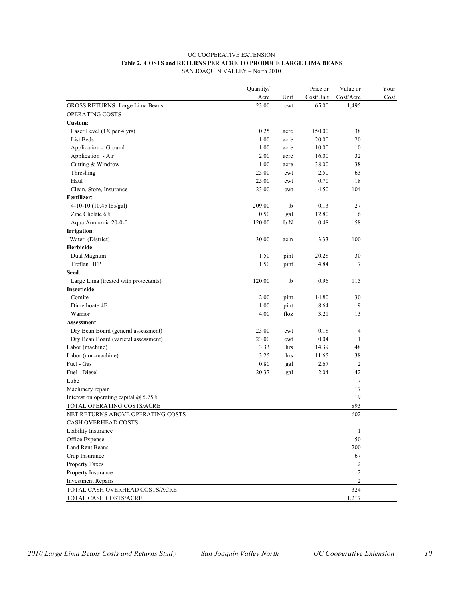#### UC COOPERATIVE EXTENSION **Table 2. COSTS and RETURNS PER ACRE TO PRODUCE LARGE LIMA BEANS**

SAN JOAQUIN VALLEY – North 2010

| Quantity/<br>Acre<br>Cost/Unit<br>Cost/Acre<br>Unit<br>Cost<br><b>GROSS RETURNS: Large Lima Beans</b><br>23.00<br>65.00<br>1,495<br>cwt<br>OPERATING COSTS<br>Custom:<br>0.25<br>150.00<br>38<br>Laser Level $(1X$ per 4 yrs)<br>acre<br>1.00<br>20.00<br>20<br>List Beds<br>acre<br>Application - Ground<br>1.00<br>10.00<br>10<br>acre<br>Application - Air<br>2.00<br>32<br>16.00<br>acre<br>Cutting & Windrow<br>1.00<br>38<br>38.00<br>acre<br>Threshing<br>25.00<br>2.50<br>63<br>cwt |
|---------------------------------------------------------------------------------------------------------------------------------------------------------------------------------------------------------------------------------------------------------------------------------------------------------------------------------------------------------------------------------------------------------------------------------------------------------------------------------------------|
|                                                                                                                                                                                                                                                                                                                                                                                                                                                                                             |
|                                                                                                                                                                                                                                                                                                                                                                                                                                                                                             |
|                                                                                                                                                                                                                                                                                                                                                                                                                                                                                             |
|                                                                                                                                                                                                                                                                                                                                                                                                                                                                                             |
|                                                                                                                                                                                                                                                                                                                                                                                                                                                                                             |
|                                                                                                                                                                                                                                                                                                                                                                                                                                                                                             |
|                                                                                                                                                                                                                                                                                                                                                                                                                                                                                             |
|                                                                                                                                                                                                                                                                                                                                                                                                                                                                                             |
|                                                                                                                                                                                                                                                                                                                                                                                                                                                                                             |
|                                                                                                                                                                                                                                                                                                                                                                                                                                                                                             |
| Haul<br>25.00<br>0.70<br>18<br>cwt                                                                                                                                                                                                                                                                                                                                                                                                                                                          |
| Clean, Store, Insurance<br>4.50<br>23.00<br>104<br>cwt                                                                                                                                                                                                                                                                                                                                                                                                                                      |
| Fertilizer:                                                                                                                                                                                                                                                                                                                                                                                                                                                                                 |
| 4-10-10 (10.45 lbs/gal)<br>209.00<br>1b<br>0.13<br>27                                                                                                                                                                                                                                                                                                                                                                                                                                       |
| Zinc Chelate 6%<br>0.50<br>gal<br>12.80<br>6                                                                                                                                                                                                                                                                                                                                                                                                                                                |
| Aqua Ammonia 20-0-0<br>120.00<br>0.48<br>lb N<br>58                                                                                                                                                                                                                                                                                                                                                                                                                                         |
| Irrigation:                                                                                                                                                                                                                                                                                                                                                                                                                                                                                 |
| Water (District)<br>30.00<br>100<br>acin<br>3.33                                                                                                                                                                                                                                                                                                                                                                                                                                            |
| Herbicide:                                                                                                                                                                                                                                                                                                                                                                                                                                                                                  |
| 1.50<br>30<br>Dual Magnum<br>pint<br>20.28                                                                                                                                                                                                                                                                                                                                                                                                                                                  |
| Treflan HFP<br>pint<br>4.84<br>7<br>1.50                                                                                                                                                                                                                                                                                                                                                                                                                                                    |
| Seed:                                                                                                                                                                                                                                                                                                                                                                                                                                                                                       |
| 120.00<br>1 <sub>b</sub><br>0.96<br>115<br>Large Lima (treated with protectants)                                                                                                                                                                                                                                                                                                                                                                                                            |
| Insecticide:                                                                                                                                                                                                                                                                                                                                                                                                                                                                                |
| Comite<br>14.80<br>2.00<br>pint<br>30                                                                                                                                                                                                                                                                                                                                                                                                                                                       |
| Dimethoate 4E<br>1.00<br>pint<br>8.64<br>9                                                                                                                                                                                                                                                                                                                                                                                                                                                  |
| Warrior<br>4.00<br>floz<br>3.21<br>13                                                                                                                                                                                                                                                                                                                                                                                                                                                       |
| Assessment:                                                                                                                                                                                                                                                                                                                                                                                                                                                                                 |
| Dry Bean Board (general assessment)<br>23.00<br>0.18<br>$\overline{4}$<br>cwt                                                                                                                                                                                                                                                                                                                                                                                                               |
| Dry Bean Board (varietal assessment)<br>23.00<br>0.04<br>1<br>cwt                                                                                                                                                                                                                                                                                                                                                                                                                           |
| Labor (machine)<br>3.33<br>48<br>hrs<br>14.39                                                                                                                                                                                                                                                                                                                                                                                                                                               |
| Labor (non-machine)<br>3.25<br>38<br>11.65<br>hrs                                                                                                                                                                                                                                                                                                                                                                                                                                           |
| 0.80<br>2.67<br>$\overline{2}$<br>Fuel - Gas<br>gal                                                                                                                                                                                                                                                                                                                                                                                                                                         |
| Fuel - Diesel<br>20.37<br>gal<br>2.04<br>42                                                                                                                                                                                                                                                                                                                                                                                                                                                 |
| Lube<br>7                                                                                                                                                                                                                                                                                                                                                                                                                                                                                   |
| 17<br>Machinery repair                                                                                                                                                                                                                                                                                                                                                                                                                                                                      |
| 19<br>Interest on operating capital $@$ 5.75%                                                                                                                                                                                                                                                                                                                                                                                                                                               |
| TOTAL OPERATING COSTS/ACRE<br>893                                                                                                                                                                                                                                                                                                                                                                                                                                                           |
| 602<br>NET RETURNS ABOVE OPERATING COSTS                                                                                                                                                                                                                                                                                                                                                                                                                                                    |
| CASH OVERHEAD COSTS:                                                                                                                                                                                                                                                                                                                                                                                                                                                                        |
| $\mathbf{1}$<br>Liability Insurance                                                                                                                                                                                                                                                                                                                                                                                                                                                         |
| $50\,$<br>Office Expense                                                                                                                                                                                                                                                                                                                                                                                                                                                                    |
| Land Rent Beans<br>200                                                                                                                                                                                                                                                                                                                                                                                                                                                                      |
| Crop Insurance<br>67                                                                                                                                                                                                                                                                                                                                                                                                                                                                        |
| Property Taxes<br>2                                                                                                                                                                                                                                                                                                                                                                                                                                                                         |
| 2<br>Property Insurance                                                                                                                                                                                                                                                                                                                                                                                                                                                                     |
| <b>Investment Repairs</b><br>2                                                                                                                                                                                                                                                                                                                                                                                                                                                              |
| 324<br>TOTAL CASH OVERHEAD COSTS/ACRE                                                                                                                                                                                                                                                                                                                                                                                                                                                       |
| TOTAL CASH COSTS/ACRE<br>1,217                                                                                                                                                                                                                                                                                                                                                                                                                                                              |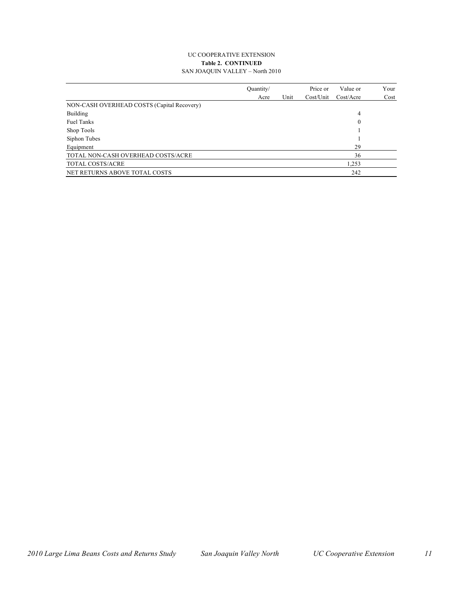#### UC COOPERATIVE EXTENSION **Table 2. CONTINUED** SAN JOAQUIN VALLEY – North 2010

|                                            | Quantity/ |      | Price or  | Value or     | Your |
|--------------------------------------------|-----------|------|-----------|--------------|------|
|                                            | Acre      | Unit | Cost/Unit | Cost/Accr    | Cost |
| NON-CASH OVERHEAD COSTS (Capital Recovery) |           |      |           |              |      |
| Building                                   |           |      |           | 4            |      |
| <b>Fuel Tanks</b>                          |           |      |           | $\mathbf{0}$ |      |
| Shop Tools                                 |           |      |           |              |      |
| Siphon Tubes                               |           |      |           |              |      |
| Equipment                                  |           |      |           | 29           |      |
| TOTAL NON-CASH OVERHEAD COSTS/ACRE         |           |      |           | 36           |      |
| TOTAL COSTS/ACRE                           |           |      |           | 1,253        |      |
| NET RETURNS ABOVE TOTAL COSTS              |           |      |           | 242          |      |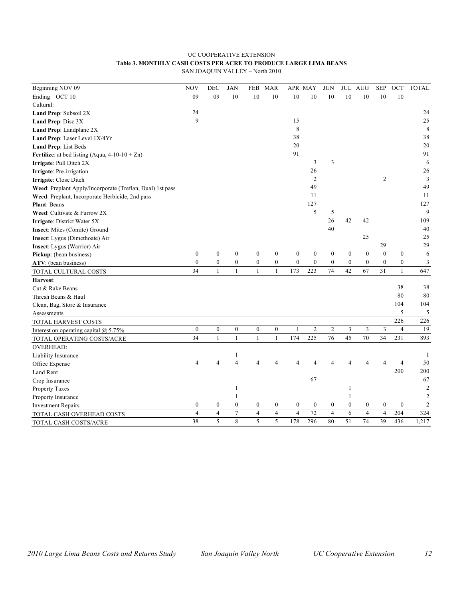#### UC COOPERATIVE EXTENSION **Table 3. MONTHLY CASH COSTS PER ACRE TO PRODUCE LARGE LIMA BEANS**

SAN JOAQUIN VALLEY – North 2010

| Beginning NOV 09                                          | <b>NOV</b>       | DEC              | <b>JAN</b>       | <b>FEB</b>       | <b>MAR</b>       |                  | APR MAY          | <b>JUN</b>       |                  | JUL AUG          | <b>SEP</b>       | OCT              | <b>TOTAL</b>   |
|-----------------------------------------------------------|------------------|------------------|------------------|------------------|------------------|------------------|------------------|------------------|------------------|------------------|------------------|------------------|----------------|
| Ending OCT 10                                             | 09               | 09               | 10               | 10               | 10               | 10               | 10               | 10               | 10               | 10               | 10               | 10               |                |
| Cultural:                                                 |                  |                  |                  |                  |                  |                  |                  |                  |                  |                  |                  |                  |                |
| Land Prep: Subsoil 2X                                     | 24               |                  |                  |                  |                  |                  |                  |                  |                  |                  |                  |                  | 24             |
| Land Prep: Disc 3X                                        | 9                |                  |                  |                  |                  | 15               |                  |                  |                  |                  |                  |                  | 25             |
| Land Prep: Landplane 2X                                   |                  |                  |                  |                  |                  | 8                |                  |                  |                  |                  |                  |                  | 8              |
| Land Prep: Laser Level 1X/4Yr                             |                  |                  |                  |                  |                  | 38               |                  |                  |                  |                  |                  |                  | 38             |
| Land Prep: List Beds                                      |                  |                  |                  |                  |                  | 20               |                  |                  |                  |                  |                  |                  | 20             |
| Fertilize: at bed listing (Aqua, $4-10-10+Zn$ )           |                  |                  |                  |                  |                  | 91               |                  |                  |                  |                  |                  |                  | 91             |
| Irrigate: Pull Ditch 2X                                   |                  |                  |                  |                  |                  |                  | 3                | 3                |                  |                  |                  |                  | 6              |
| Irrigate: Pre-irrigation                                  |                  |                  |                  |                  |                  |                  | 26               |                  |                  |                  |                  |                  | 26             |
| Irrigate: Close Ditch                                     |                  |                  |                  |                  |                  |                  | $\overline{2}$   |                  |                  |                  | $\overline{2}$   |                  | 3              |
| Weed: Preplant Apply/Incorporate (Treflan, Dual) 1st pass |                  |                  |                  |                  |                  |                  | 49               |                  |                  |                  |                  |                  | 49             |
| Weed: Preplant, Incorporate Herbicide, 2nd pass           |                  |                  |                  |                  |                  |                  | 11               |                  |                  |                  |                  |                  | 11             |
| <b>Plant: Beans</b>                                       |                  |                  |                  |                  |                  |                  | 127              |                  |                  |                  |                  |                  | 127            |
| Weed: Cultivate & Furrow 2X                               |                  |                  |                  |                  |                  |                  | 5                | 5                |                  |                  |                  |                  | 9              |
| Irrigate: District Water 5X                               |                  |                  |                  |                  |                  |                  |                  | 26               | 42               | 42               |                  |                  | 109            |
| <b>Insect:</b> Mites (Comite) Ground                      |                  |                  |                  |                  |                  |                  |                  | 40               |                  |                  |                  |                  | 40             |
| Insect: Lygus (Dimethoate) Air                            |                  |                  |                  |                  |                  |                  |                  |                  |                  | 25               |                  |                  | 25             |
| <b>Insect:</b> Lygus (Warrior) Air                        |                  |                  |                  |                  |                  |                  |                  |                  |                  |                  | 29               |                  | 29             |
| Pickup: (bean business)                                   | $\boldsymbol{0}$ | $\boldsymbol{0}$ | $\boldsymbol{0}$ | $\boldsymbol{0}$ | $\boldsymbol{0}$ | $\boldsymbol{0}$ | $\boldsymbol{0}$ | $\boldsymbol{0}$ | $\boldsymbol{0}$ | $\boldsymbol{0}$ | $\boldsymbol{0}$ | $\boldsymbol{0}$ | 6              |
| ATV: (bean business)                                      | $\boldsymbol{0}$ | $\boldsymbol{0}$ | $\boldsymbol{0}$ | $\boldsymbol{0}$ | $\boldsymbol{0}$ | $\mathbf{0}$     | $\mathbf{0}$     | $\boldsymbol{0}$ | $\boldsymbol{0}$ | $\boldsymbol{0}$ | $\boldsymbol{0}$ | $\boldsymbol{0}$ | 3              |
| TOTAL CULTURAL COSTS                                      | 34               | 1                | $\mathbf{1}$     | $\mathbf{1}$     | $\mathbf{1}$     | 173              | 223              | 74               | 42               | 67               | 31               | $\mathbf{1}$     | 647            |
| Harvest:                                                  |                  |                  |                  |                  |                  |                  |                  |                  |                  |                  |                  |                  |                |
| Cut & Rake Beans                                          |                  |                  |                  |                  |                  |                  |                  |                  |                  |                  |                  | 38               | 38             |
| Thresh Beans & Haul                                       |                  |                  |                  |                  |                  |                  |                  |                  |                  |                  |                  | 80               | 80             |
| Clean, Bag, Store & Insurance                             |                  |                  |                  |                  |                  |                  |                  |                  |                  |                  |                  | 104              | 104            |
| Assessments                                               |                  |                  |                  |                  |                  |                  |                  |                  |                  |                  |                  | 5                | 5              |
| TOTAL HARVEST COSTS                                       |                  |                  |                  |                  |                  |                  |                  |                  |                  |                  |                  | 226              | 226            |
| Interest on operating capital $@$ 5.75%                   | $\mathbf{0}$     | $\boldsymbol{0}$ | $\boldsymbol{0}$ | $\boldsymbol{0}$ | $\boldsymbol{0}$ | $\mathbf{1}$     | $\overline{c}$   | $\overline{2}$   | 3                | 3                | 3                | $\overline{4}$   | 19             |
| TOTAL OPERATING COSTS/ACRE                                | 34               | $\mathbf{1}$     | $\mathbf{1}$     | $\mathbf{1}$     | $\mathbf{1}$     | 174              | 225              | 76               | 45               | 70               | 34               | 231              | 893            |
| <b>OVERHEAD:</b>                                          |                  |                  |                  |                  |                  |                  |                  |                  |                  |                  |                  |                  |                |
| Liability Insurance                                       |                  |                  | 1                |                  |                  |                  |                  |                  |                  |                  |                  |                  | 1              |
| Office Expense                                            | $\overline{4}$   | 4                | $\overline{4}$   | 4                | 4                |                  |                  |                  | 4                | $\Delta$         |                  | 4                | 50             |
| Land Rent                                                 |                  |                  |                  |                  |                  |                  |                  |                  |                  |                  |                  | 200              | 200            |
| Crop Insurance                                            |                  |                  |                  |                  |                  |                  | 67               |                  |                  |                  |                  |                  | 67             |
| Property Taxes                                            |                  |                  | 1                |                  |                  |                  |                  |                  | 1                |                  |                  |                  | $\overline{2}$ |
| Property Insurance                                        |                  |                  | 1                |                  |                  |                  |                  |                  | 1                |                  |                  |                  | $\overline{c}$ |
| <b>Investment Repairs</b>                                 | $\boldsymbol{0}$ | $\boldsymbol{0}$ | $\boldsymbol{0}$ | $\boldsymbol{0}$ | 0                | $\bf{0}$         | $\boldsymbol{0}$ | $\boldsymbol{0}$ | $\mathbf{0}$     | $\boldsymbol{0}$ | $\boldsymbol{0}$ | $\boldsymbol{0}$ | $\overline{c}$ |
| TOTAL CASH OVERHEAD COSTS                                 | $\overline{4}$   | $\overline{4}$   | $\tau$           | $\overline{4}$   | $\overline{4}$   | $\overline{4}$   | 72               | $\overline{4}$   | 6                | $\overline{4}$   | $\overline{4}$   | 204              | 324            |
| TOTAL CASH COSTS/ACRE                                     | 38               | 5                | 8                | 5                | 5                | 178              | 296              | 80               | 51               | 74               | 39               | 436              | 1,217          |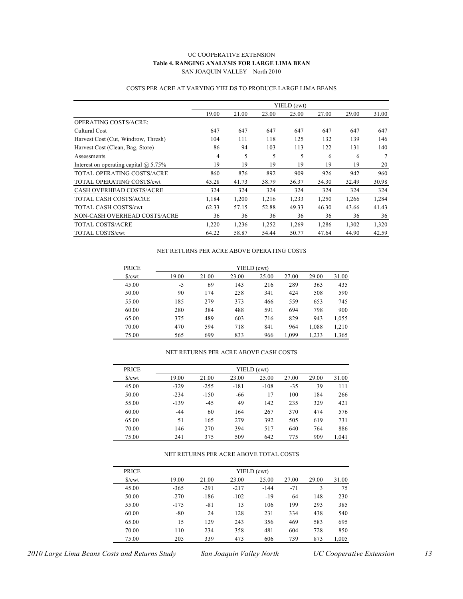#### UC COOPERATIVE EXTENSION **Table 4. RANGING ANALYSIS FOR LARGE LIMA BEAN** SAN JOAQUIN VALLEY – North 2010

|                                              | YIELD (cwt) |       |       |       |       |       |       |  |  |
|----------------------------------------------|-------------|-------|-------|-------|-------|-------|-------|--|--|
|                                              | 19.00       | 21.00 | 23.00 | 25.00 | 27.00 | 29.00 | 31.00 |  |  |
| OPERATING COSTS/ACRE:                        |             |       |       |       |       |       |       |  |  |
| Cultural Cost                                | 647         | 647   | 647   | 647   | 647   | 647   | 647   |  |  |
| Harvest Cost (Cut, Windrow, Thresh)          | 104         | 111   | 118   | 125   | 132   | 139   | 146   |  |  |
| Harvest Cost (Clean, Bag, Store)             | 86          | 94    | 103   | 113   | 122   | 131   | 140   |  |  |
| Assessments                                  | 4           | 5     | 5     | 5     | 6     | 6     | 7     |  |  |
| Interest on operating capital $\omega$ 5.75% | 19          | 19    | 19    | 19    | 19    | 19    | 20    |  |  |
| TOTAL OPERATING COSTS/ACRE                   | 860         | 876   | 892   | 909   | 926   | 942   | 960   |  |  |
| <b>TOTAL OPERATING COSTS/cwt</b>             | 45.28       | 41.73 | 38.79 | 36.37 | 34.30 | 32.49 | 30.98 |  |  |
| <b>CASH OVERHEAD COSTS/ACRE</b>              | 324         | 324   | 324   | 324   | 324   | 324   | 324   |  |  |
| TOTAL CASH COSTS/ACRE                        | 1.184       | 1.200 | 1.216 | 1.233 | 1.250 | 1,266 | 1,284 |  |  |
| <b>TOTAL CASH COSTS/cwt</b>                  | 62.33       | 57.15 | 52.88 | 49.33 | 46.30 | 43.66 | 41.43 |  |  |
| NON-CASH OVERHEAD COSTS/ACRE                 | 36          | 36    | 36    | 36    | 36    | 36    | 36    |  |  |
| <b>TOTAL COSTS/ACRE</b>                      | 1,220       | 1,236 | 1,252 | 1.269 | 1.286 | 1,302 | 1,320 |  |  |
| <b>TOTAL COSTS/cwt</b>                       | 64.22       | 58.87 | 54.44 | 50.77 | 47.64 | 44.90 | 42.59 |  |  |

#### COSTS PER ACRE AT VARYING YIELDS TO PRODUCE LARGE LIMA BEANS

#### NET RETURNS PER ACRE ABOVE OPERATING COSTS

| <b>PRICE</b>           | YIELD (cwt) |       |       |       |       |       |       |  |  |  |  |
|------------------------|-------------|-------|-------|-------|-------|-------|-------|--|--|--|--|
| $\sqrt{\frac{2}{\pi}}$ | 19.00       | 21.00 | 23.00 | 25.00 | 27.00 | 29.00 | 31.00 |  |  |  |  |
| 45.00                  | $-5$        | 69    | 143   | 216   | 289   | 363   | 435   |  |  |  |  |
| 50.00                  | 90          | 174   | 258   | 341   | 424   | 508   | 590   |  |  |  |  |
| 55.00                  | 185         | 279   | 373   | 466   | 559   | 653   | 745   |  |  |  |  |
| 60.00                  | 280         | 384   | 488   | 591   | 694   | 798   | 900   |  |  |  |  |
| 65.00                  | 375         | 489   | 603   | 716   | 829   | 943   | 1,055 |  |  |  |  |
| 70.00                  | 470         | 594   | 718   | 841   | 964   | 1,088 | 1,210 |  |  |  |  |
| 75.00                  | 565         | 699   | 833   | 966   | 1,099 | 1,233 | 1,365 |  |  |  |  |

#### NET RETURNS PER ACRE ABOVE CASH COSTS

| <b>PRICE</b>           | YIELD (cwt) |        |        |        |       |       |       |  |  |  |  |
|------------------------|-------------|--------|--------|--------|-------|-------|-------|--|--|--|--|
| $\sqrt{\frac{2}{\pi}}$ | 19.00       | 21.00  | 23.00  | 25.00  | 27.00 | 29.00 | 31.00 |  |  |  |  |
| 45.00                  | $-329$      | $-255$ | $-181$ | $-108$ | $-35$ | 39    | 111   |  |  |  |  |
| 50.00                  | $-234$      | $-150$ | -66    | 17     | 100   | 184   | 266   |  |  |  |  |
| 55.00                  | $-139$      | $-45$  | 49     | 142    | 235   | 329   | 421   |  |  |  |  |
| 60.00                  | $-44$       | 60     | 164    | 267    | 370   | 474   | 576   |  |  |  |  |
| 65.00                  | 51          | 165    | 279    | 392    | 505   | 619   | 731   |  |  |  |  |
| 70.00                  | 146         | 270    | 394    | 517    | 640   | 764   | 886   |  |  |  |  |
| 75.00                  | 241         | 375    | 509    | 642    | 775   | 909   | 1,041 |  |  |  |  |

#### NET RETURNS PER ACRE ABOVE TOTAL COSTS

| <b>PRICE</b>        | YIELD (cwt) |        |        |        |       |       |       |  |  |  |
|---------------------|-------------|--------|--------|--------|-------|-------|-------|--|--|--|
| $\sqrt{\text{cwt}}$ | 19.00       | 21.00  | 23.00  | 25.00  | 27.00 | 29.00 | 31.00 |  |  |  |
| 45.00               | $-365$      | $-291$ | $-217$ | $-144$ | $-71$ | 3     | 75    |  |  |  |
| 50.00               | $-270$      | $-186$ | $-102$ | $-19$  | 64    | 148   | 230   |  |  |  |
| 55.00               | $-175$      | $-81$  | 13     | 106    | 199   | 293   | 385   |  |  |  |
| 60.00               | $-80$       | 24     | 128    | 231    | 334   | 438   | 540   |  |  |  |
| 65.00               | 15          | 129    | 243    | 356    | 469   | 583   | 695   |  |  |  |
| 70.00               | 110         | 234    | 358    | 481    | 604   | 728   | 850   |  |  |  |
| 75.00               | 205         | 339    | 473    | 606    | 739   | 873   | 1,005 |  |  |  |

*2010 Large Lima Beans Costs and Returns Study San Joaquin Valley North UC Cooperative Extension 13*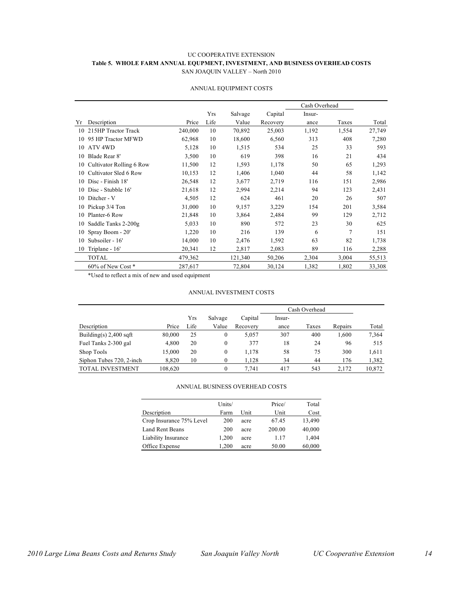#### UC COOPERATIVE EXTENSION **Table 5. WHOLE FARM ANNUAL EQUPMENT, INVESTMENT, AND BUSINESS OVERHEAD COSTS** SAN JOAQUIN VALLEY – North 2010

|    |                          |         |      |         |          |        | Cash Overhead  |        |  |
|----|--------------------------|---------|------|---------|----------|--------|----------------|--------|--|
|    |                          |         | Yrs  | Salvage | Capital  | Insur- |                |        |  |
| Yr | Description              | Price   | Life | Value   | Recovery | ance   | Taxes          | Total  |  |
| 10 | 215HP Tractor Track      | 240,000 | 10   | 70,892  | 25,003   | 1,192  | 1,554          | 27,749 |  |
| 10 | 95 HP Tractor MFWD       | 62,968  | 10   | 18,600  | 6,560    | 313    | 408            | 7,280  |  |
| 10 | ATV <sub>4WD</sub>       | 5,128   | 10   | 1,515   | 534      | 25     | 33             | 593    |  |
| 10 | Blade Rear 8'            | 3,500   | 10   | 619     | 398      | 16     | 21             | 434    |  |
| 10 | Cultivator Rolling 6 Row | 11,500  | 12   | 1,593   | 1,178    | 50     | 65             | 1,293  |  |
| 10 | Cultivator Sled 6 Row    | 10,153  | 12   | 1,406   | 1,040    | 44     | 58             | 1,142  |  |
| 10 | Disc - Finish 18'        | 26,548  | 12   | 3,677   | 2,719    | 116    | 151            | 2,986  |  |
| 10 | Disc - Stubble 16'       | 21,618  | 12   | 2,994   | 2,214    | 94     | 123            | 2,431  |  |
| 10 | Ditcher - V              | 4,505   | 12   | 624     | 461      | 20     | 26             | 507    |  |
| 10 | Pickup 3/4 Ton           | 31,000  | 10   | 9,157   | 3,229    | 154    | 201            | 3,584  |  |
| 10 | Planter-6 Row            | 21,848  | 10   | 3,864   | 2,484    | 99     | 129            | 2,712  |  |
| 10 | Saddle Tanks 2-200g      | 5,033   | 10   | 890     | 572      | 23     | 30             | 625    |  |
| 10 | Spray Boom - 20'         | 1,220   | 10   | 216     | 139      | 6      | $\overline{7}$ | 151    |  |
| 10 | Subsoiler - 16'          | 14,000  | 10   | 2,476   | 1,592    | 63     | 82             | 1,738  |  |
| 10 | Triplane - 16'           | 20,341  | 12   | 2,817   | 2,083    | 89     | 116            | 2,288  |  |
|    | <b>TOTAL</b>             | 479,362 |      | 121,340 | 50,206   | 2,304  | 3,004          | 55,513 |  |
|    | 60% of New Cost*         | 287,617 |      | 72,804  | 30,124   | 1,382  | 1,802          | 33,308 |  |

#### ANNUAL EQUIPMENT COSTS

\*Used to reflect a mix of new and used equipment

#### ANNUAL INVESTMENT COSTS

|                          |         |      |         |          | Cash Overhead |       |         |        |
|--------------------------|---------|------|---------|----------|---------------|-------|---------|--------|
|                          |         | Yrs  | Salvage | Capital  | Insur-        |       |         |        |
| Description              | Price   | Life | Value   | Recovery | ance          | Taxes | Repairs | Total  |
| Building(s) $2,400$ sqft | 80,000  | 25   | 0       | 5.057    | 307           | 400   | 1,600   | 7,364  |
| Fuel Tanks 2-300 gal     | 4.800   | 20   | 0       | 377      | 18            | 24    | 96      | 515    |
| Shop Tools               | 15.000  | 20   | 0       | 1.178    | 58            | 75    | 300     | 1,611  |
| Siphon Tubes 720, 2-inch | 8,820   | 10   | 0       | 1,128    | 34            | 44    | 176     | 1,382  |
| <b>TOTAL INVESTMENT</b>  | 108.620 |      | 0       | 7.741    | 417           | 543   | 2.172   | 10,872 |

#### ANNUAL BUSINESS OVERHEAD COSTS

| Units/ |      | Price/ | Total  |
|--------|------|--------|--------|
| Farm   | Unit | Unit   | Cost   |
| 200    | acre | 67.45  | 13,490 |
| 200    | acre | 200.00 | 40,000 |
| 1,200  | acre | 1.17   | 1,404  |
| 1.200  | acre | 50.00  | 60,000 |
|        |      |        |        |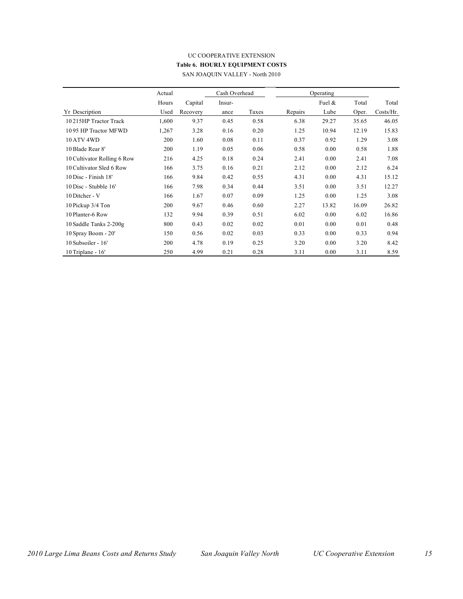#### UC COOPERATIVE EXTENSION **Table 6. HOURLY EQUIPMENT COSTS** SAN JOAQUIN VALLEY - North 2010

|                             | Actual | Cash Overhead |        | Operating |         |           |       |           |
|-----------------------------|--------|---------------|--------|-----------|---------|-----------|-------|-----------|
|                             | Hours  | Capital       | Insur- |           |         | Fuel $\&$ | Total | Total     |
| <b>Yr</b> Description       | Used   | Recovery      | ance   | Taxes     | Repairs | Lube      | Oper. | Costs/Hr. |
| 10215HP Tractor Track       | 1,600  | 9.37          | 0.45   | 0.58      | 6.38    | 29.27     | 35.65 | 46.05     |
| 1095 HP Tractor MFWD        | 1,267  | 3.28          | 0.16   | 0.20      | 1.25    | 10.94     | 12.19 | 15.83     |
| <b>10 ATV 4WD</b>           | 200    | 1.60          | 0.08   | 0.11      | 0.37    | 0.92      | 1.29  | 3.08      |
| 10 Blade Rear 8'            | 200    | 1.19          | 0.05   | 0.06      | 0.58    | 0.00      | 0.58  | 1.88      |
| 10 Cultivator Rolling 6 Row | 216    | 4.25          | 0.18   | 0.24      | 2.41    | 0.00      | 2.41  | 7.08      |
| 10 Cultivator Sled 6 Row    | 166    | 3.75          | 0.16   | 0.21      | 2.12    | 0.00      | 2.12  | 6.24      |
| 10 Disc - Finish 18'        | 166    | 9.84          | 0.42   | 0.55      | 4.31    | 0.00      | 4.31  | 15.12     |
| 10 Disc - Stubble 16'       | 166    | 7.98          | 0.34   | 0.44      | 3.51    | 0.00      | 3.51  | 12.27     |
| 10 Ditcher - V              | 166    | 1.67          | 0.07   | 0.09      | 1.25    | 0.00      | 1.25  | 3.08      |
| 10 Pickup 3/4 Ton           | 200    | 9.67          | 0.46   | 0.60      | 2.27    | 13.82     | 16.09 | 26.82     |
| 10 Planter-6 Row            | 132    | 9.94          | 0.39   | 0.51      | 6.02    | 0.00      | 6.02  | 16.86     |
| 10 Saddle Tanks 2-200g      | 800    | 0.43          | 0.02   | 0.02      | 0.01    | 0.00      | 0.01  | 0.48      |
| 10 Spray Boom - 20'         | 150    | 0.56          | 0.02   | 0.03      | 0.33    | 0.00      | 0.33  | 0.94      |
| 10 Subsoiler - 16'          | 200    | 4.78          | 0.19   | 0.25      | 3.20    | 0.00      | 3.20  | 8.42      |
| 10 Triplane - 16'           | 250    | 4.99          | 0.21   | 0.28      | 3.11    | 0.00      | 3.11  | 8.59      |